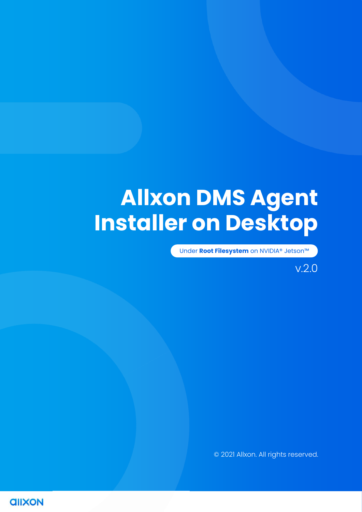# **Allxon DMS Agent Installer on Desktop**

Under **Root Filesystem** on NVIDIA® Jetson™

### v.2.0

© 2021 Allxon. All rights reserved.

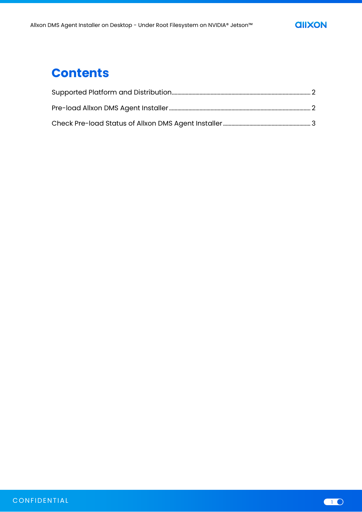

# **Contents**

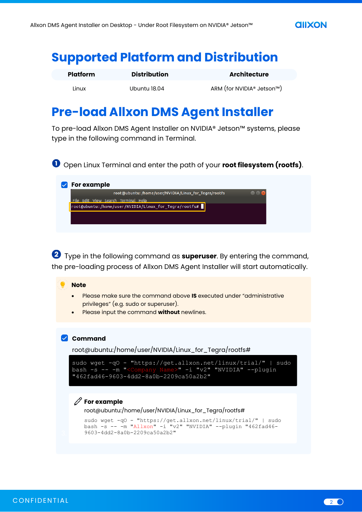

# <span id="page-2-0"></span>**Supported Platform and Distribution**

| <b>Platform</b> | <b>Distribution</b> | <b>Architecture</b>       |
|-----------------|---------------------|---------------------------|
| Linux           | Ubuntu 18.04        | ARM (for NVIDIA® Jetson™) |

# <span id="page-2-1"></span>**Pre-load Allxon DMS Agent Installer**

To pre-load Allxon DMS Agent Installer on NVIDIA® Jetson™ systems, please type in the following command in Terminal.

Open Linux Terminal and enter the path of your **root filesystem (rootfs)**.

| For example                                                                  |               |
|------------------------------------------------------------------------------|---------------|
| root@ubuntu: /home/user/NVIDIA/Linux_for_Tegra/rootfs                        | $\Box$ $\Box$ |
| Edit View Search Terminal Help                                               |               |
| $\sqrt{\frac{1}{100}}$ root@ubuntu:/home/user/NVIDIA/Linux_for_Tegra/rootfs# |               |

Type in the following command as **superuser**. By entering the command, the pre-loading process of Allxon DMS Agent Installer will start automatically.

#### **Note**

- Please make sure the command above **IS** executed under "administrative privileges" (e.g. sudo or superuser).
- Please input the command **without** newlines.

### **Command**

root@ubuntu:/home/user/NVIDIA/Linux\_for\_Tegra/rootfs#

```
sudo wget -qO - "https://get.allxon.net/linux/trial/" | sudo<br>bash -s -- -m "<Company Name>" -i "v2" "NVIDIA" --plugin
                                         bash -i "v2" "NVIDIA" --plugin
"462fad46-9603-4dd2-8a0b-2209ca50a2b2"
```
### $\mathscr{D}$  For example

root@ubuntu:/home/user/NVIDIA/Linux\_for\_Tegra/rootfs#

```
sudo wget -qO - "https://get.allxon.net/linux/trial/" | sudo 
bash -s -- -m "Allxon" -i "v2" "NVIDIA" --plugin "462fad46-
9603-4dd2-8a0b-2209ca50a2b2"
```